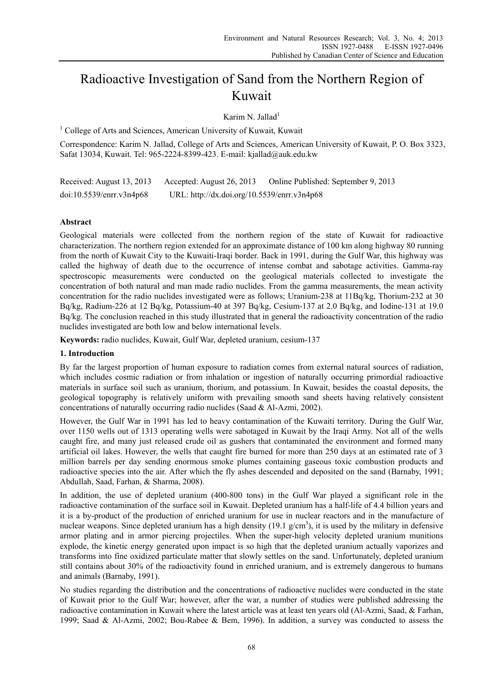# Radioactive Investigation of Sand from the Northern Region of Kuwait

Karim N. Jallad $<sup>1</sup>$ </sup>

<sup>1</sup> College of Arts and Sciences, American University of Kuwait, Kuwait

Correspondence: Karim N. Jallad, College of Arts and Sciences, American University of Kuwait, P. O. Box 3323, Safat 13034, Kuwait. Tel: 965-2224-8399-423. E-mail: kjallad@auk.edu.kw

| Received: August 13, 2013 | Accepted: August 26, 2013                   | Online Published: September 9, 2013 |
|---------------------------|---------------------------------------------|-------------------------------------|
| doi:10.5539/enrr.v3n4p68  | URL: http://dx.doi.org/10.5539/enrr.v3n4p68 |                                     |

## **Abstract**

Geological materials were collected from the northern region of the state of Kuwait for radioactive characterization. The northern region extended for an approximate distance of 100 km along highway 80 running from the north of Kuwait City to the Kuwaiti-Iraqi border. Back in 1991, during the Gulf War, this highway was called the highway of death due to the occurrence of intense combat and sabotage activities. Gamma-ray spectroscopic measurements were conducted on the geological materials collected to investigate the concentration of both natural and man made radio nuclides. From the gamma measurements, the mean activity concentration for the radio nuclides investigated were as follows; Uranium-238 at 11Bq/kg, Thorium-232 at 30 Bq/kg, Radium-226 at 12 Bq/kg, Potassium-40 at 397 Bq/kg, Cesium-137 at 2.0 Bq/kg, and Iodine-131 at 19.0 Bq/kg. The conclusion reached in this study illustrated that in general the radioactivity concentration of the radio nuclides investigated are both low and below international levels.

**Keywords:** radio nuclides, Kuwait, Gulf War, depleted uranium, cesium-137

### **1. Introduction**

By far the largest proportion of human exposure to radiation comes from external natural sources of radiation, which includes cosmic radiation or from inhalation or ingestion of naturally occurring primordial radioactive materials in surface soil such as uranium, thorium, and potassium. In Kuwait, besides the coastal deposits, the geological topography is relatively uniform with prevailing smooth sand sheets having relatively consistent concentrations of naturally occurring radio nuclides (Saad & Al-Azmi, 2002).

However, the Gulf War in 1991 has led to heavy contamination of the Kuwaiti territory. During the Gulf War, over 1150 wells out of 1313 operating wells were sabotaged in Kuwait by the Iraqi Army. Not all of the wells caught fire, and many just released crude oil as gushers that contaminated the environment and formed many artificial oil lakes. However, the wells that caught fire burned for more than 250 days at an estimated rate of 3 million barrels per day sending enormous smoke plumes containing gaseous toxic combustion products and radioactive species into the air. After which the fly ashes descended and deposited on the sand (Barnaby, 1991; Abdullah, Saad, Farhan, & Sharma, 2008).

In addition, the use of depleted uranium (400-800 tons) in the Gulf War played a significant role in the radioactive contamination of the surface soil in Kuwait. Depleted uranium has a half-life of 4.4 billion years and it is a by-product of the production of enriched uranium for use in nuclear reactors and in the manufacture of nuclear weapons. Since depleted uranium has a high density  $(19.1 \text{ g/cm}^3)$ , it is used by the military in defensive armor plating and in armor piercing projectiles. When the super-high velocity depleted uranium munitions explode, the kinetic energy generated upon impact is so high that the depleted uranium actually vaporizes and transforms into fine oxidized particulate matter that slowly settles on the sand. Unfortunately, depleted uranium still contains about 30% of the radioactivity found in enriched uranium, and is extremely dangerous to humans and animals (Barnaby, 1991).

No studies regarding the distribution and the concentrations of radioactive nuclides were conducted in the state of Kuwait prior to the Gulf War; however, after the war, a number of studies were published addressing the radioactive contamination in Kuwait where the latest article was at least ten years old (Al-Azmi, Saad, & Farhan, 1999; Saad & Al-Azmi, 2002; Bou-Rabee & Bem, 1996). In addition, a survey was conducted to assess the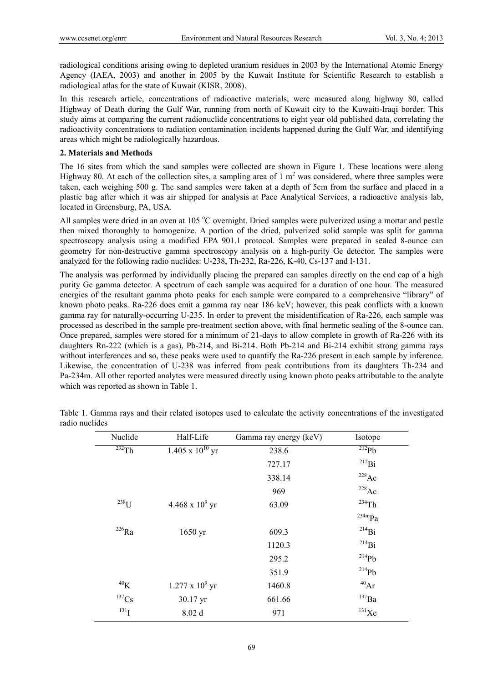radiological conditions arising owing to depleted uranium residues in 2003 by the International Atomic Energy Agency (IAEA, 2003) and another in 2005 by the Kuwait Institute for Scientific Research to establish a radiological atlas for the state of Kuwait (KISR, 2008).

In this research article, concentrations of radioactive materials, were measured along highway 80, called Highway of Death during the Gulf War, running from north of Kuwait city to the Kuwaiti-Iraqi border. This study aims at comparing the current radionuclide concentrations to eight year old published data, correlating the radioactivity concentrations to radiation contamination incidents happened during the Gulf War, and identifying areas which might be radiologically hazardous.

#### **2. Materials and Methods**

The 16 sites from which the sand samples were collected are shown in Figure 1. These locations were along Highway 80. At each of the collection sites, a sampling area of 1  $m<sup>2</sup>$  was considered, where three samples were taken, each weighing 500 g. The sand samples were taken at a depth of 5cm from the surface and placed in a plastic bag after which it was air shipped for analysis at Pace Analytical Services, a radioactive analysis lab, located in Greensburg, PA, USA.

All samples were dried in an oven at  $105 \degree C$  overnight. Dried samples were pulverized using a mortar and pestle then mixed thoroughly to homogenize. A portion of the dried, pulverized solid sample was split for gamma spectroscopy analysis using a modified EPA 901.1 protocol. Samples were prepared in sealed 8-ounce can geometry for non-destructive gamma spectroscopy analysis on a high-purity Ge detector. The samples were analyzed for the following radio nuclides: U-238, Th-232, Ra-226, K-40, Cs-137 and I-131.

The analysis was performed by individually placing the prepared can samples directly on the end cap of a high purity Ge gamma detector. A spectrum of each sample was acquired for a duration of one hour. The measured energies of the resultant gamma photo peaks for each sample were compared to a comprehensive "library" of known photo peaks. Ra-226 does emit a gamma ray near 186 keV; however, this peak conflicts with a known gamma ray for naturally-occurring U-235. In order to prevent the misidentification of Ra-226, each sample was processed as described in the sample pre-treatment section above, with final hermetic sealing of the 8-ounce can. Once prepared, samples were stored for a minimum of 21-days to allow complete in growth of Ra-226 with its daughters Rn-222 (which is a gas), Pb-214, and Bi-214. Both Pb-214 and Bi-214 exhibit strong gamma rays without interferences and so, these peaks were used to quantify the Ra-226 present in each sample by inference. Likewise, the concentration of U-238 was inferred from peak contributions from its daughters Th-234 and Pa-234m. All other reported analytes were measured directly using known photo peaks attributable to the analyte which was reported as shown in Table 1.

| Nuclide             | Half-Life                 | Gamma ray energy (keV) | Isotope             |  |
|---------------------|---------------------------|------------------------|---------------------|--|
| $232$ Th            | $1.405 \times 10^{10}$ yr | 238.6                  | $^{212}Pb$          |  |
|                     |                           | 727.17                 | $^{212}Bi$          |  |
|                     |                           | 338.14                 | $^{228}\mathrm{Ac}$ |  |
|                     |                           | 969                    | $228$ Ac            |  |
| $238$ U             | $4.468 \times 10^{9}$ yr  | 63.09                  | $^{234}$ Th         |  |
|                     |                           |                        | $234$ m $Pa$        |  |
| $^{226}\mathrm{Ra}$ | 1650 yr                   | 609.3                  | $^{214}Bi$          |  |
|                     |                           | 1120.3                 | $^{214}Bi$          |  |
|                     |                           | 295.2                  | $^{214}Pb$          |  |
|                     |                           | 351.9                  | $^{214}Pb$          |  |
| $^{40}$ K           | $1.277 \times 10^9$ yr    | 1460.8                 | $^{40}Ar$           |  |
| $^{137}Cs$          | 30.17 yr                  | 661.66                 | $^{137}Ba$          |  |
| $^{131}$ I          | 8.02 d                    | 971                    | $^{131}$ Xe         |  |
|                     |                           |                        |                     |  |

Table 1. Gamma rays and their related isotopes used to calculate the activity concentrations of the investigated radio nuclides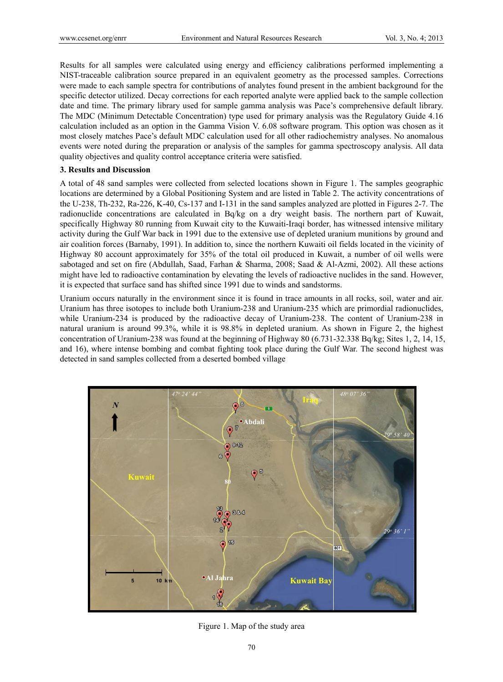Results for all samples were calculated using energy and efficiency calibrations performed implementing a NIST-traceable calibration source prepared in an equivalent geometry as the processed samples. Corrections were made to each sample spectra for contributions of analytes found present in the ambient background for the specific detector utilized. Decay corrections for each reported analyte were applied back to the sample collection date and time. The primary library used for sample gamma analysis was Pace's comprehensive default library. The MDC (Minimum Detectable Concentration) type used for primary analysis was the Regulatory Guide 4.16 calculation included as an option in the Gamma Vision V. 6.08 software program. This option was chosen as it most closely matches Pace's default MDC calculation used for all other radiochemistry analyses. No anomalous events were noted during the preparation or analysis of the samples for gamma spectroscopy analysis. All data quality objectives and quality control acceptance criteria were satisfied.

### **3. Results and Discussion**

A total of 48 sand samples were collected from selected locations shown in Figure 1. The samples geographic locations are determined by a Global Positioning System and are listed in Table 2. The activity concentrations of the U-238, Th-232, Ra-226, K-40, Cs-137 and I-131 in the sand samples analyzed are plotted in Figures 2-7. The radionuclide concentrations are calculated in Bq/kg on a dry weight basis. The northern part of Kuwait, specifically Highway 80 running from Kuwait city to the Kuwaiti-Iraqi border, has witnessed intensive military activity during the Gulf War back in 1991 due to the extensive use of depleted uranium munitions by ground and air coalition forces (Barnaby, 1991). In addition to, since the northern Kuwaiti oil fields located in the vicinity of Highway 80 account approximately for 35% of the total oil produced in Kuwait, a number of oil wells were sabotaged and set on fire (Abdullah, Saad, Farhan & Sharma, 2008; Saad & Al-Azmi, 2002). All these actions might have led to radioactive contamination by elevating the levels of radioactive nuclides in the sand. However, it is expected that surface sand has shifted since 1991 due to winds and sandstorms.

Uranium occurs naturally in the environment since it is found in trace amounts in all rocks, soil, water and air. Uranium has three isotopes to include both Uranium-238 and Uranium-235 which are primordial radionuclides, while Uranium-234 is produced by the radioactive decay of Uranium-238. The content of Uranium-238 in natural uranium is around 99.3%, while it is 98.8% in depleted uranium. As shown in Figure 2, the highest concentration of Uranium-238 was found at the beginning of Highway 80 (6.731-32.338 Bq/kg; Sites 1, 2, 14, 15, and 16), where intense bombing and combat fighting took place during the Gulf War. The second highest was detected in sand samples collected from a deserted bombed village



Figure 1. Map of the study area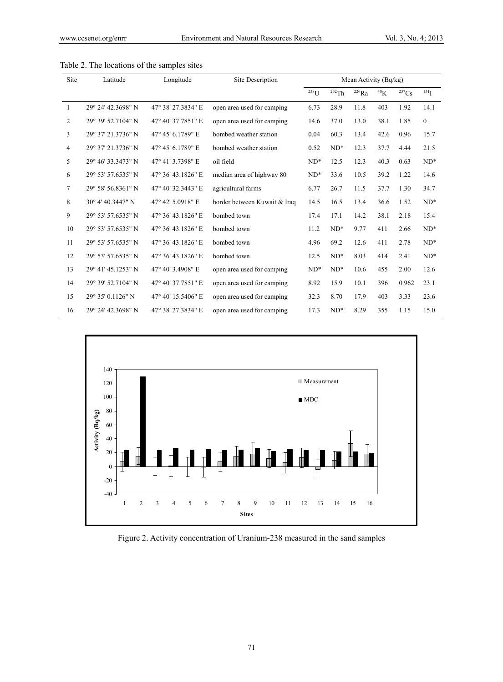| Site           | Latitude           | Longitude          | Site Description             | Mean Activity (Bq/kg) |          |            |             |            |              |
|----------------|--------------------|--------------------|------------------------------|-----------------------|----------|------------|-------------|------------|--------------|
|                |                    |                    |                              | $\mathrm{^{238}U}$    | $232$ Th | $^{226}Ra$ | ${}^{40}$ K | $^{237}Cs$ | $^{131}$ I   |
| 1              | 29° 24' 42.3698" N | 47° 38′ 27.3834″ E | open area used for camping   | 6.73                  | 28.9     | 11.8       | 403         | 1.92       | 14.1         |
| $\overline{2}$ | 29° 39' 52.7104" N | 47° 40' 37.7851" E | open area used for camping   | 14.6                  | 37.0     | 13.0       | 38.1        | 1.85       | $\mathbf{0}$ |
| 3              | 29° 37' 21.3736" N | 47° 45' 6.1789" E  | bombed weather station       | 0.04                  | 60.3     | 13.4       | 42.6        | 0.96       | 15.7         |
| $\overline{4}$ | 29° 37' 21.3736" N | 47° 45' 6.1789" E  | bombed weather station       | 0.52                  | $ND^*$   | 12.3       | 37.7        | 4.44       | 21.5         |
| 5              | 29° 46' 33.3473" N | 47° 41' 3.7398" E  | oil field                    | $ND^*$                | 12.5     | 12.3       | 40.3        | 0.63       | $ND^*$       |
| 6              | 29° 53' 57.6535" N | 47° 36' 43.1826" E | median area of highway 80    | $ND^*$                | 33.6     | 10.5       | 39.2        | 1.22       | 14.6         |
| 7              | 29° 58' 56.8361" N | 47° 40' 32.3443" E | agricultural farms           | 6.77                  | 26.7     | 11.5       | 37.7        | 1.30       | 34.7         |
| 8              | 30° 4' 40.3447" N  | 47° 42′ 5.0918″ E  | border between Kuwait & Iraq | 14.5                  | 16.5     | 13.4       | 36.6        | 1.52       | $ND^*$       |
| 9              | 29° 53' 57.6535" N | 47° 36' 43.1826" E | bombed town                  | 17.4                  | 17.1     | 14.2       | 38.1        | 2.18       | 15.4         |
| 10             | 29° 53' 57.6535" N | 47° 36' 43.1826" E | bombed town                  | 11.2                  | $ND^*$   | 9.77       | 411         | 2.66       | $ND^*$       |
| 11             | 29° 53' 57.6535" N | 47° 36' 43.1826" E | bombed town                  | 4.96                  | 69.2     | 12.6       | 411         | 2.78       | $ND^*$       |
| 12             | 29° 53' 57.6535" N | 47° 36' 43.1826" E | bombed town                  | 12.5                  | $ND^*$   | 8.03       | 414         | 2.41       | $ND^*$       |
| 13             | 29° 41' 45.1253" N | 47° 40' 3.4908" E  | open area used for camping   | $ND^*$                | $ND^*$   | 10.6       | 455         | 2.00       | 12.6         |
| 14             | 29° 39' 52.7104" N | 47° 40' 37.7851" E | open area used for camping   | 8.92                  | 15.9     | 10.1       | 396         | 0.962      | 23.1         |
| 15             | 29° 35' 0.1126" N  | 47° 40' 15.5406" E | open area used for camping   | 32.3                  | 8.70     | 17.9       | 403         | 3.33       | 23.6         |
| 16             | 29° 24' 42.3698" N | 47° 38′ 27.3834″ E | open area used for camping   | 17.3                  | $ND^*$   | 8.29       | 355         | 1.15       | 15.0         |

Table 2. The locations of the samples sites



Figure 2. Activity concentration of Uranium-238 measured in the sand samples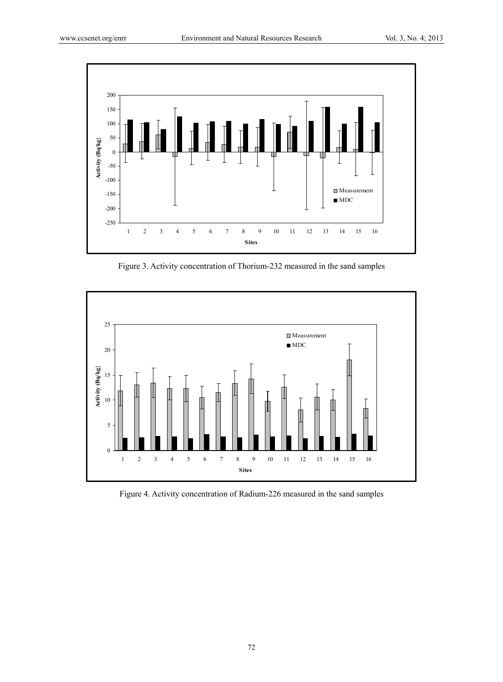

Figure 3. Activity concentration of Thorium-232 measured in the sand samples



Figure 4. Activity concentration of Radium-226 measured in the sand samples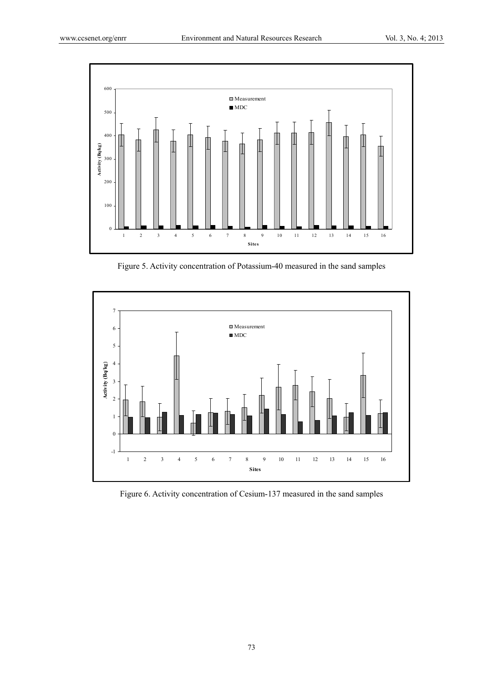

Figure 5. Activity concentration of Potassium-40 measured in the sand samples



Figure 6. Activity concentration of Cesium-137 measured in the sand samples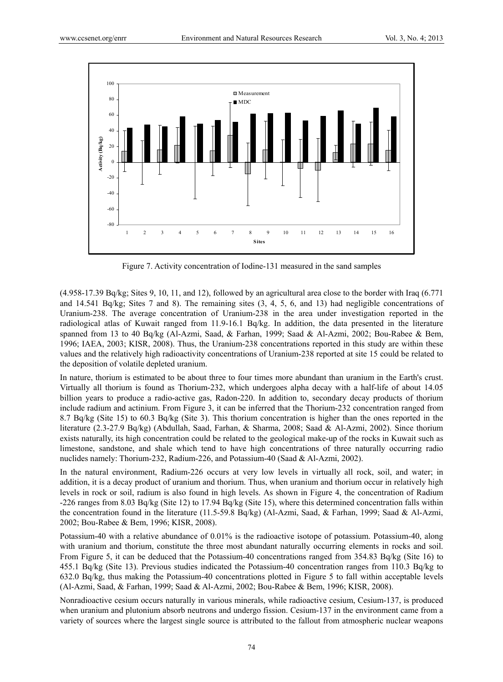

Figure 7. Activity concentration of Iodine-131 measured in the sand samples

(4.958-17.39 Bq/kg; Sites 9, 10, 11, and 12), followed by an agricultural area close to the border with Iraq (6.771 and 14.541 Bq/kg; Sites 7 and 8). The remaining sites (3, 4, 5, 6, and 13) had negligible concentrations of Uranium-238. The average concentration of Uranium-238 in the area under investigation reported in the radiological atlas of Kuwait ranged from 11.9-16.1 Bq/kg. In addition, the data presented in the literature spanned from 13 to 40 Bq/kg (Al-Azmi, Saad, & Farhan, 1999; Saad & Al-Azmi, 2002; Bou-Rabee & Bem, 1996; IAEA, 2003; KISR, 2008). Thus, the Uranium-238 concentrations reported in this study are within these values and the relatively high radioactivity concentrations of Uranium-238 reported at site 15 could be related to the deposition of volatile depleted uranium.

In nature, thorium is estimated to be about three to four times more abundant than uranium in the Earth's crust. Virtually all thorium is found as Thorium-232, which undergoes alpha decay with a half-life of about 14.05 billion years to produce a radio-active gas, Radon-220. In addition to, secondary decay products of thorium include radium and actinium. From Figure 3, it can be inferred that the Thorium-232 concentration ranged from 8.7 Bq/kg (Site 15) to 60.3 Bq/kg (Site 3). This thorium concentration is higher than the ones reported in the literature (2.3-27.9 Bq/kg) (Abdullah, Saad, Farhan, & Sharma, 2008; Saad & Al-Azmi, 2002). Since thorium exists naturally, its high concentration could be related to the geological make-up of the rocks in Kuwait such as limestone, sandstone, and shale which tend to have high concentrations of three naturally occurring radio nuclides namely: Thorium-232, Radium-226, and Potassium-40 (Saad & Al-Azmi, 2002).

In the natural environment, Radium-226 occurs at very low levels in virtually all rock, soil, and water; in addition, it is a decay product of uranium and thorium. Thus, when uranium and thorium occur in relatively high levels in rock or soil, radium is also found in high levels. As shown in Figure 4, the concentration of Radium -226 ranges from 8.03 Bq/kg (Site 12) to 17.94 Bq/kg (Site 15), where this determined concentration falls within the concentration found in the literature (11.5-59.8 Bq/kg) (Al-Azmi, Saad, & Farhan, 1999; Saad & Al-Azmi, 2002; Bou-Rabee & Bem, 1996; KISR, 2008).

Potassium-40 with a relative abundance of 0.01% is the radioactive isotope of potassium. Potassium-40, along with uranium and thorium, constitute the three most abundant naturally occurring elements in rocks and soil. From Figure 5, it can be deduced that the Potassium-40 concentrations ranged from 354.83 Bq/kg (Site 16) to 455.1 Bq/kg (Site 13). Previous studies indicated the Potassium-40 concentration ranges from 110.3 Bq/kg to 632.0 Bq/kg, thus making the Potassium-40 concentrations plotted in Figure 5 to fall within acceptable levels (Al-Azmi, Saad, & Farhan, 1999; Saad & Al-Azmi, 2002; Bou-Rabee & Bem, 1996; KISR, 2008).

Nonradioactive cesium occurs naturally in various minerals, while radioactive cesium, Cesium-137, is produced when uranium and plutonium absorb neutrons and undergo fission. Cesium-137 in the environment came from a variety of sources where the largest single source is attributed to the fallout from atmospheric nuclear weapons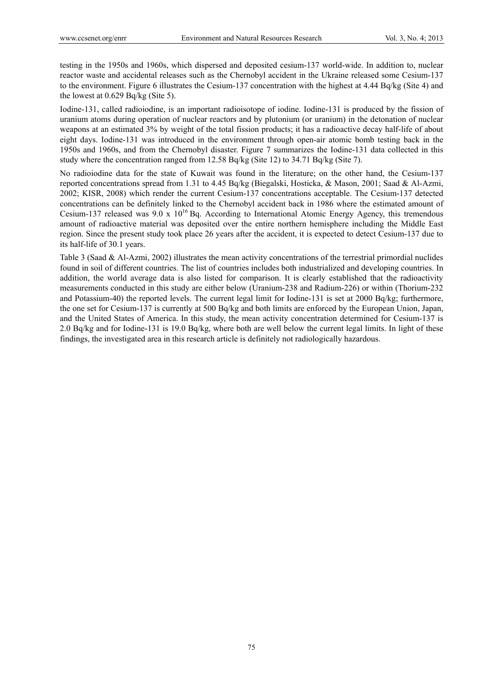testing in the 1950s and 1960s, which dispersed and deposited cesium-137 world-wide. In addition to, nuclear reactor waste and accidental releases such as the Chernobyl accident in the Ukraine released some Cesium-137 to the environment. Figure 6 illustrates the Cesium-137 concentration with the highest at 4.44 Bq/kg (Site 4) and the lowest at 0.629 Bq/kg (Site 5).

Iodine-131, called radioiodine, is an important radioisotope of iodine. Iodine-131 is produced by the fission of uranium atoms during operation of nuclear reactors and by plutonium (or uranium) in the detonation of nuclear weapons at an estimated 3% by weight of the total fission products; it has a radioactive decay half-life of about eight days. Iodine-131 was introduced in the environment through open-air atomic bomb testing back in the 1950s and 1960s, and from the Chernobyl disaster. Figure 7 summarizes the Iodine-131 data collected in this study where the concentration ranged from 12.58 Bq/kg (Site 12) to 34.71 Bq/kg (Site 7).

No radioiodine data for the state of Kuwait was found in the literature; on the other hand, the Cesium-137 reported concentrations spread from 1.31 to 4.45 Bq/kg (Biegalski, Hosticka, & Mason, 2001; Saad & Al-Azmi, 2002; KISR, 2008) which render the current Cesium-137 concentrations acceptable. The Cesium-137 detected concentrations can be definitely linked to the Chernobyl accident back in 1986 where the estimated amount of Cesium-137 released was  $9.0 \times 10^{16}$  Bq. According to International Atomic Energy Agency, this tremendous amount of radioactive material was deposited over the entire northern hemisphere including the Middle East region. Since the present study took place 26 years after the accident, it is expected to detect Cesium-137 due to its half-life of 30.1 years.

Table 3 (Saad & Al-Azmi, 2002) illustrates the mean activity concentrations of the terrestrial primordial nuclides found in soil of different countries. The list of countries includes both industrialized and developing countries. In addition, the world average data is also listed for comparison. It is clearly established that the radioactivity measurements conducted in this study are either below (Uranium-238 and Radium-226) or within (Thorium-232 and Potassium-40) the reported levels. The current legal limit for Iodine-131 is set at 2000 Bq/kg; furthermore, the one set for Cesium-137 is currently at 500 Bq/kg and both limits are enforced by the European Union, Japan, and the United States of America. In this study, the mean activity concentration determined for Cesium-137 is 2.0 Bq/kg and for Iodine-131 is 19.0 Bq/kg, where both are well below the current legal limits. In light of these findings, the investigated area in this research article is definitely not radiologically hazardous.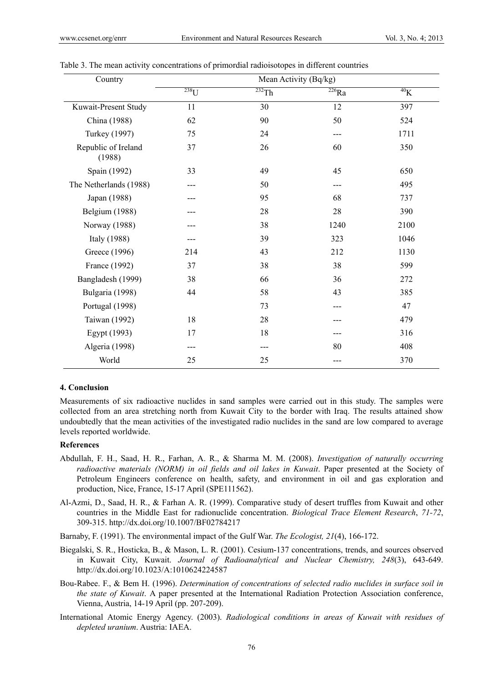| Country                       |            | Mean Activity (Bq/kg) |                       |           |  |  |
|-------------------------------|------------|-----------------------|-----------------------|-----------|--|--|
|                               | $^{238}$ U | $232$ Th              | $\overline{^{226}Ra}$ | $^{40}$ K |  |  |
| Kuwait-Present Study          | 11         | 30                    | 12                    | 397       |  |  |
| China (1988)                  | 62         | 90                    | 50                    | 524       |  |  |
| <b>Turkey</b> (1997)          | 75         | 24                    | ---                   | 1711      |  |  |
| Republic of Ireland<br>(1988) | 37         | 26                    | 60                    | 350       |  |  |
| Spain (1992)                  | 33         | 49                    | 45                    | 650       |  |  |
| The Netherlands (1988)        |            | 50                    | ---                   | 495       |  |  |
| Japan (1988)                  |            | 95                    | 68                    | 737       |  |  |
| Belgium (1988)                |            | 28                    | 28                    | 390       |  |  |
| Norway (1988)                 |            | 38                    | 1240                  | 2100      |  |  |
| Italy (1988)                  |            | 39                    | 323                   | 1046      |  |  |
| Greece (1996)                 | 214        | 43                    | 212                   | 1130      |  |  |
| France (1992)                 | 37         | 38                    | 38                    | 599       |  |  |
| Bangladesh (1999)             | 38         | 66                    | 36                    | 272       |  |  |
| Bulgaria (1998)               | 44         | 58                    | 43                    | 385       |  |  |
| Portugal (1998)               |            | 73                    | ---                   | 47        |  |  |
| Taiwan (1992)                 | 18         | 28                    |                       | 479       |  |  |
| Egypt (1993)                  | 17         | 18                    |                       | 316       |  |  |
| Algeria (1998)                |            |                       | 80                    | 408       |  |  |
| World                         | 25         | 25                    |                       | 370       |  |  |

Table 3. The mean activity concentrations of primordial radioisotopes in different countries

#### **4. Conclusion**

Measurements of six radioactive nuclides in sand samples were carried out in this study. The samples were collected from an area stretching north from Kuwait City to the border with Iraq. The results attained show undoubtedly that the mean activities of the investigated radio nuclides in the sand are low compared to average levels reported worldwide.

### **References**

- Abdullah, F. H., Saad, H. R., Farhan, A. R., & Sharma M. M. (2008). *Investigation of naturally occurring radioactive materials (NORM) in oil fields and oil lakes in Kuwait*. Paper presented at the Society of Petroleum Engineers conference on health, safety, and environment in oil and gas exploration and production, Nice, France, 15-17 April (SPE111562).
- Al-Azmi, D., Saad, H. R., & Farhan A. R. (1999). Comparative study of desert truffles from Kuwait and other countries in the Middle East for radionuclide concentration. *Biological Trace Element Research*, *71-72*, 309-315. http://dx.doi.org/10.1007/BF02784217
- Barnaby, F. (1991). The environmental impact of the Gulf War. *The Ecologist, 21*(4), 166-172.
- Biegalski, S. R., Hosticka, B., & Mason, L. R. (2001). Cesium-137 concentrations, trends, and sources observed in Kuwait City, Kuwait. *Journal of Radioanalytical and Nuclear Chemistry, 248*(3), 643-649. http://dx.doi.org/10.1023/A:1010624224587
- Bou-Rabee. F., & Bem H. (1996). *Determination of concentrations of selected radio nuclides in surface soil in the state of Kuwait*. A paper presented at the International Radiation Protection Association conference, Vienna, Austria, 14-19 April (pp. 207-209).
- International Atomic Energy Agency. (2003). *Radiological conditions in areas of Kuwait with residues of depleted uranium*. Austria: IAEA.